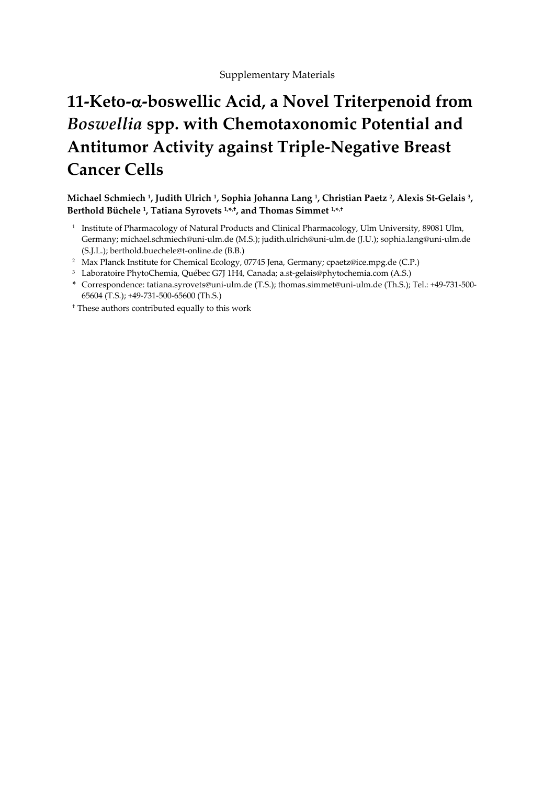## **11-Keto--boswellic Acid, a Novel Triterpenoid from**  *Boswellia* **spp. with Chemotaxonomic Potential and Antitumor Activity against Triple-Negative Breast Cancer Cells**

**Michael Schmiech <sup>1</sup> , Judith Ulrich <sup>1</sup> , Sophia Johanna Lang <sup>1</sup> , Christian Paetz <sup>2</sup> , Alexis St-Gelais <sup>3</sup> , Berthold Büchele <sup>1</sup> , Tatiana Syrovets 1,\* ,† , and Thomas Simmet 1,\* ,†**

- 1 Institute of Pharmacology of Natural Products and Clinical Pharmacology, Ulm University, 89081 Ulm, Germany; michael.schmiech@uni-ulm.de (M.S.); judith.ulrich@uni-ulm.de (J.U.); sophia.lang@uni-ulm.de (S.J.L.); berthold.buechele@t-online.de (B.B.)
- <sup>2</sup> Max Planck Institute for Chemical Ecology, 07745 Jena, Germany; [cpaetz@ice.mpg.de](javascript:popup_imp() (C.P.)
- <sup>3</sup> Laboratoire PhytoChemia, Québec G7J 1H4, Canada; a.st-gelais@phytochemia.com (A.S.)
- **\*** Correspondence: tatiana.syrovets@uni-ulm.de (T.S.); thomas.simmet@uni-ulm.de (Th.S.); Tel.: +49-731-500- 65604 (T.S.); +49-731-500-65600 (Th.S.)
- **†** These authors contributed equally to this work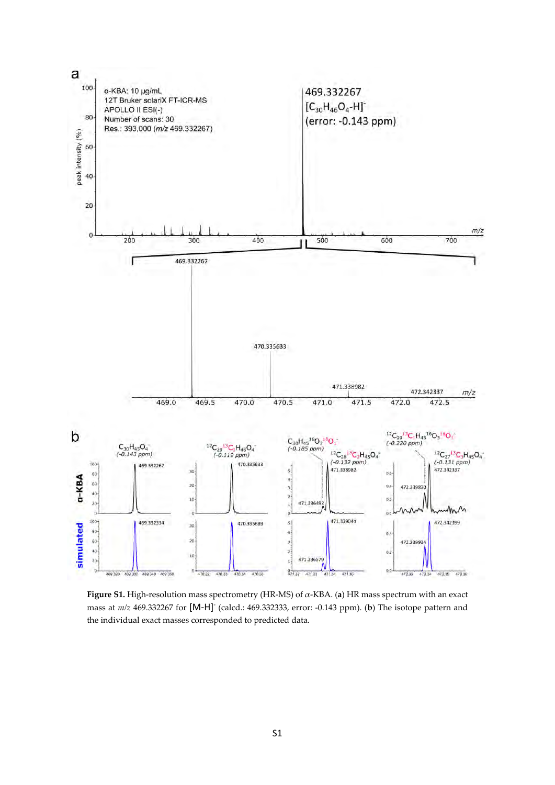

**Figure S1.** High-resolution mass spectrometry (HR-MS) of α-KBA. (**a**) HR mass spectrum with an exact mass at  $m/z$  469.332267 for [M-H]<sup>-</sup> (calcd.: 469.332333, error: -0.143 ppm). (**b**) The isotope pattern and the individual exact masses corresponded to predicted data.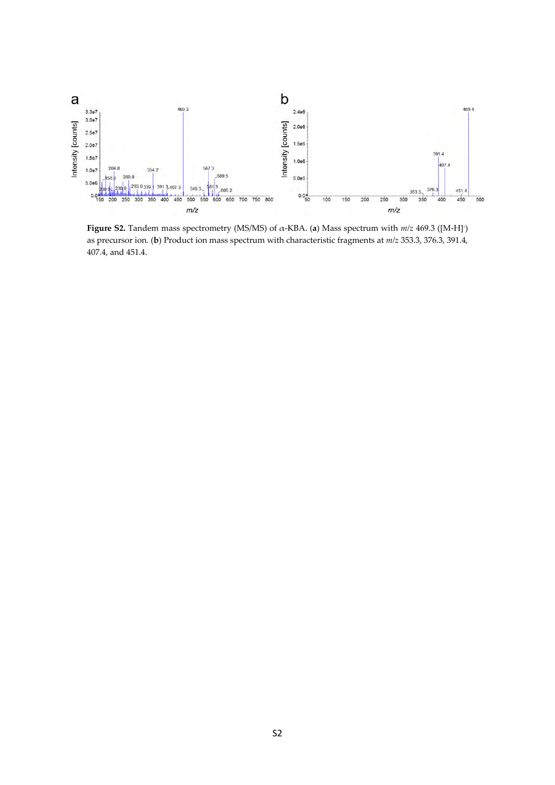

**Figure S2.** Tandem mass spectrometry (MS/MS) of α-KBA. (**a**) Mass spectrum with *m/z* 469.3 ([M-H]- ) as precursor ion. (**b**) Product ion mass spectrum with characteristic fragments at *m/z* 353.3, 376.3, 391.4, 407.4, and 451.4.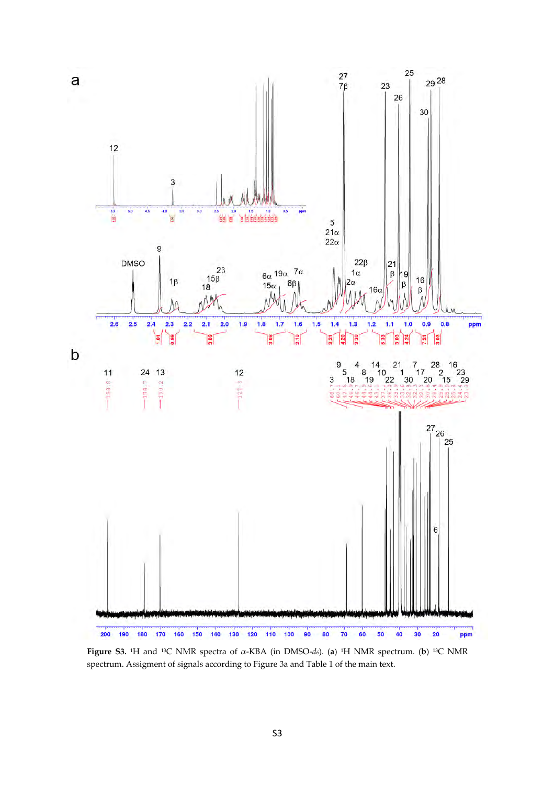

**Figure S3.** <sup>1</sup>H and <sup>13</sup>C NMR spectra of α-KBA (in DMSO-*d6*). (**a**) <sup>1</sup>H NMR spectrum. (**b**) <sup>13</sup>C NMR spectrum. Assigment of signals according to Figure 3a and Table 1 of the main text.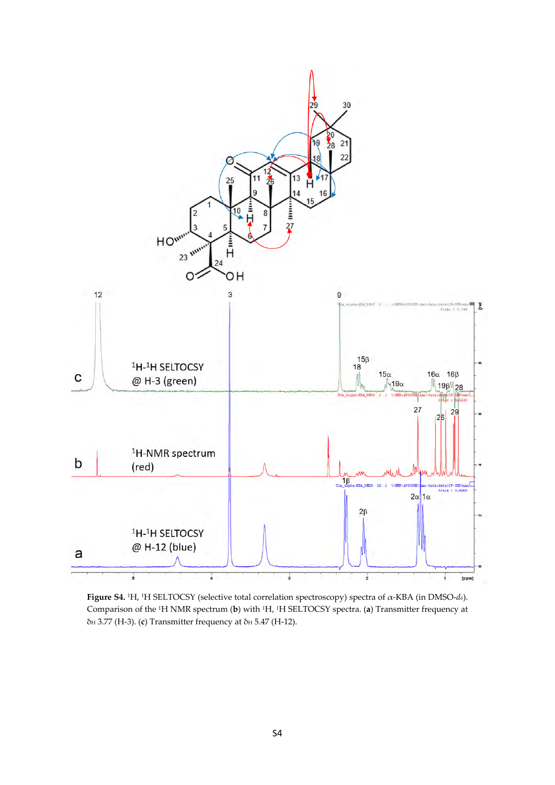

**Figure S4.** <sup>1</sup>H, <sup>1</sup>H SELTOCSY (selective total correlation spectroscopy) spectra of α-KBA (in DMSO-*d6*). Comparison of the <sup>1</sup>H NMR spectrum (**b**) with <sup>1</sup>H, <sup>1</sup>H SELTOCSY spectra. (**a**) Transmitter frequency at δ<sub>H</sub> 3.77 (H-3). (**c**) Transmitter frequency at δ<sub>H</sub> 5.47 (H-12).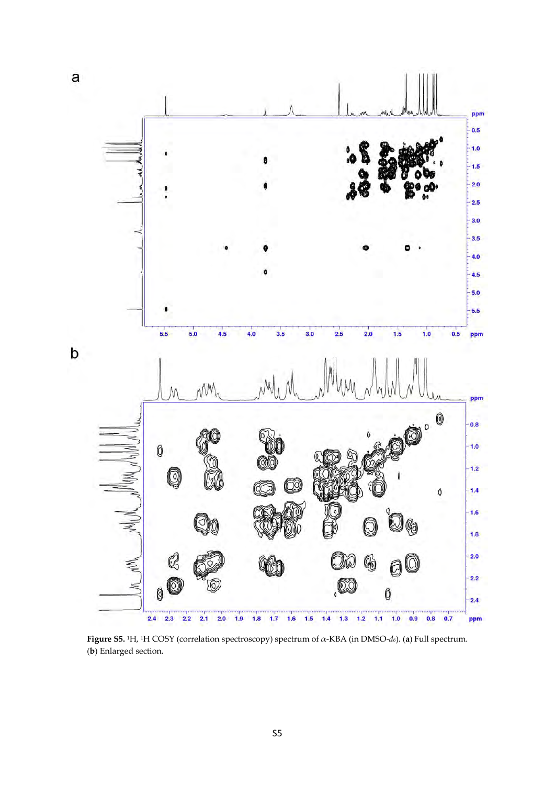![](_page_5_Figure_0.jpeg)

**Figure S5.** <sup>1</sup>H, <sup>1</sup>H COSY (correlation spectroscopy) spectrum of α-KBA (in DMSO-*d6*). (**a**) Full spectrum. (**b**) Enlarged section.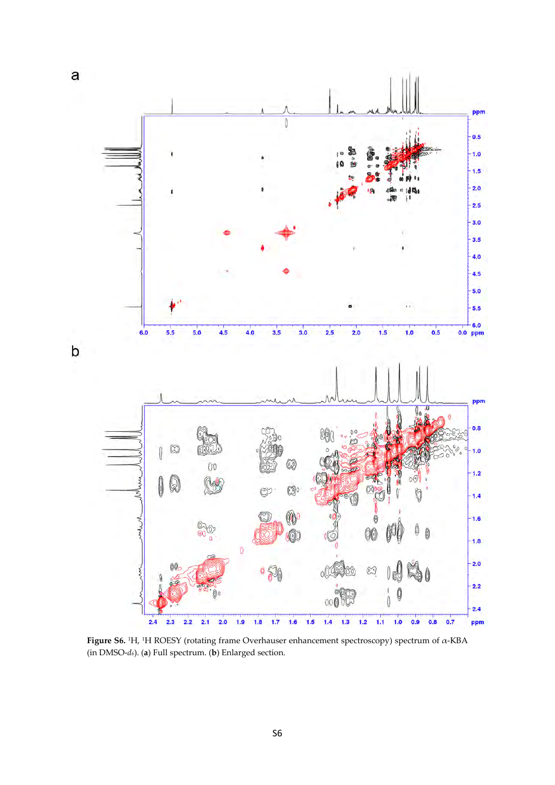![](_page_6_Figure_0.jpeg)

**Figure S6.** <sup>1</sup>H, <sup>1</sup>H ROESY (rotating frame Overhauser enhancement spectroscopy) spectrum of α-KBA (in DMSO-*d6*). (**a**) Full spectrum. (**b**) Enlarged section.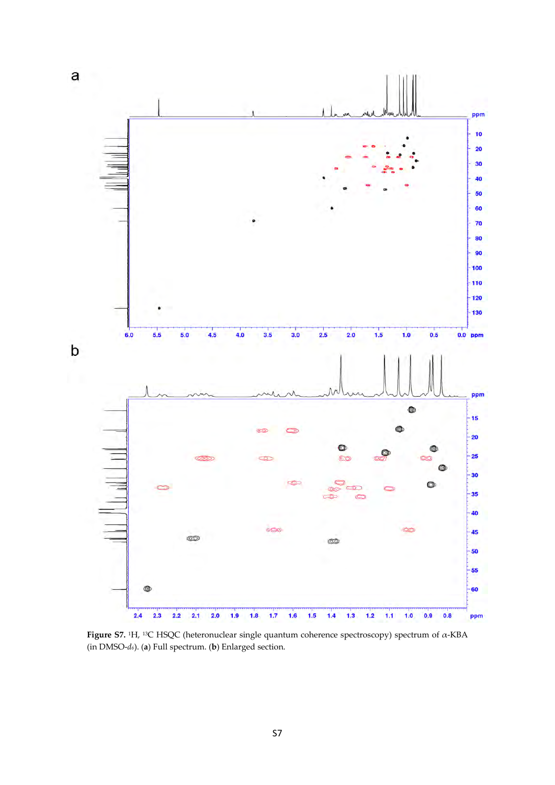![](_page_7_Figure_0.jpeg)

**Figure S7.** <sup>1</sup>H, <sup>13</sup>C HSQC (heteronuclear single quantum coherence spectroscopy) spectrum of α-KBA (in DMSO-*d6*). (**a**) Full spectrum. (**b**) Enlarged section.